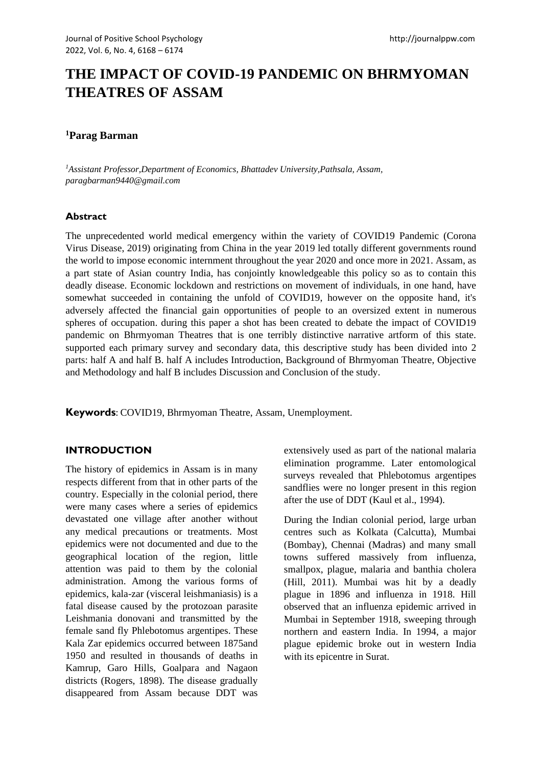# **THE IMPACT OF COVID-19 PANDEMIC ON BHRMYOMAN THEATRES OF ASSAM**

## **<sup>1</sup>Parag Barman**

*<sup>1</sup>Assistant Professor,Department of Economics, Bhattadev University,Pathsala, Assam, paragbarman9440@gmail.com*

#### **Abstract**

The unprecedented world medical emergency within the variety of COVID19 Pandemic (Corona Virus Disease, 2019) originating from China in the year 2019 led totally different governments round the world to impose economic internment throughout the year 2020 and once more in 2021. Assam, as a part state of Asian country India, has conjointly knowledgeable this policy so as to contain this deadly disease. Economic lockdown and restrictions on movement of individuals, in one hand, have somewhat succeeded in containing the unfold of COVID19, however on the opposite hand, it's adversely affected the financial gain opportunities of people to an oversized extent in numerous spheres of occupation. during this paper a shot has been created to debate the impact of COVID19 pandemic on Bhrmyoman Theatres that is one terribly distinctive narrative artform of this state. supported each primary survey and secondary data, this descriptive study has been divided into 2 parts: half A and half B. half A includes Introduction, Background of Bhrmyoman Theatre, Objective and Methodology and half B includes Discussion and Conclusion of the study.

**Keywords**: COVID19, Bhrmyoman Theatre, Assam, Unemployment.

#### **INTRODUCTION**

The history of epidemics in Assam is in many respects different from that in other parts of the country. Especially in the colonial period, there were many cases where a series of epidemics devastated one village after another without any medical precautions or treatments. Most epidemics were not documented and due to the geographical location of the region, little attention was paid to them by the colonial administration. Among the various forms of epidemics, kala-zar (visceral leishmaniasis) is a fatal disease caused by the protozoan parasite Leishmania donovani and transmitted by the female sand fly Phlebotomus argentipes. These Kala Zar epidemics occurred between 1875and 1950 and resulted in thousands of deaths in Kamrup, Garo Hills, Goalpara and Nagaon districts (Rogers, 1898). The disease gradually disappeared from Assam because DDT was extensively used as part of the national malaria elimination programme. Later entomological surveys revealed that Phlebotomus argentipes sandflies were no longer present in this region after the use of DDT (Kaul et al., 1994).

During the Indian colonial period, large urban centres such as Kolkata (Calcutta), Mumbai (Bombay), Chennai (Madras) and many small towns suffered massively from influenza, smallpox, plague, malaria and banthia cholera (Hill, 2011). Mumbai was hit by a deadly plague in 1896 and influenza in 1918. Hill observed that an influenza epidemic arrived in Mumbai in September 1918, sweeping through northern and eastern India. In 1994, a major plague epidemic broke out in western India with its epicentre in Surat.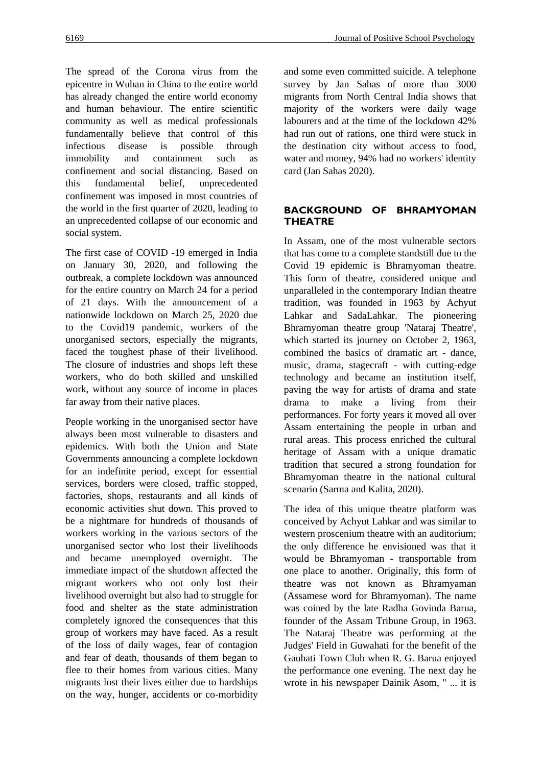The spread of the Corona virus from the epicentre in Wuhan in China to the entire world has already changed the entire world economy and human behaviour. The entire scientific community as well as medical professionals fundamentally believe that control of this infectious disease is possible through immobility and containment such as confinement and social distancing. Based on this fundamental belief, unprecedented confinement was imposed in most countries of the world in the first quarter of 2020, leading to an unprecedented collapse of our economic and social system.

The first case of COVID -19 emerged in India on January 30, 2020, and following the outbreak, a complete lockdown was announced for the entire country on March 24 for a period of 21 days. With the announcement of a nationwide lockdown on March 25, 2020 due to the Covid19 pandemic, workers of the unorganised sectors, especially the migrants, faced the toughest phase of their livelihood. The closure of industries and shops left these workers, who do both skilled and unskilled work, without any source of income in places far away from their native places.

People working in the unorganised sector have always been most vulnerable to disasters and epidemics. With both the Union and State Governments announcing a complete lockdown for an indefinite period, except for essential services, borders were closed, traffic stopped, factories, shops, restaurants and all kinds of economic activities shut down. This proved to be a nightmare for hundreds of thousands of workers working in the various sectors of the unorganised sector who lost their livelihoods and became unemployed overnight. The immediate impact of the shutdown affected the migrant workers who not only lost their livelihood overnight but also had to struggle for food and shelter as the state administration completely ignored the consequences that this group of workers may have faced. As a result of the loss of daily wages, fear of contagion and fear of death, thousands of them began to flee to their homes from various cities. Many migrants lost their lives either due to hardships on the way, hunger, accidents or co-morbidity and some even committed suicide. A telephone survey by Jan Sahas of more than 3000 migrants from North Central India shows that majority of the workers were daily wage labourers and at the time of the lockdown 42% had run out of rations, one third were stuck in the destination city without access to food, water and money, 94% had no workers' identity card (Jan Sahas 2020).

## **BACKGROUND OF BHRAMYOMAN THEATRE**

In Assam, one of the most vulnerable sectors that has come to a complete standstill due to the Covid 19 epidemic is Bhramyoman theatre. This form of theatre, considered unique and unparalleled in the contemporary Indian theatre tradition, was founded in 1963 by Achyut Lahkar and SadaLahkar. The pioneering Bhramyoman theatre group 'Nataraj Theatre', which started its journey on October 2, 1963, combined the basics of dramatic art - dance, music, drama, stagecraft - with cutting-edge technology and became an institution itself, paving the way for artists of drama and state drama to make a living from their performances. For forty years it moved all over Assam entertaining the people in urban and rural areas. This process enriched the cultural heritage of Assam with a unique dramatic tradition that secured a strong foundation for Bhramyoman theatre in the national cultural scenario (Sarma and Kalita, 2020).

The idea of this unique theatre platform was conceived by Achyut Lahkar and was similar to western proscenium theatre with an auditorium; the only difference he envisioned was that it would be Bhramyoman - transportable from one place to another. Originally, this form of theatre was not known as Bhramyaman (Assamese word for Bhramyoman). The name was coined by the late Radha Govinda Barua, founder of the Assam Tribune Group, in 1963. The Nataraj Theatre was performing at the Judges' Field in Guwahati for the benefit of the Gauhati Town Club when R. G. Barua enjoyed the performance one evening. The next day he wrote in his newspaper Dainik Asom, " ... it is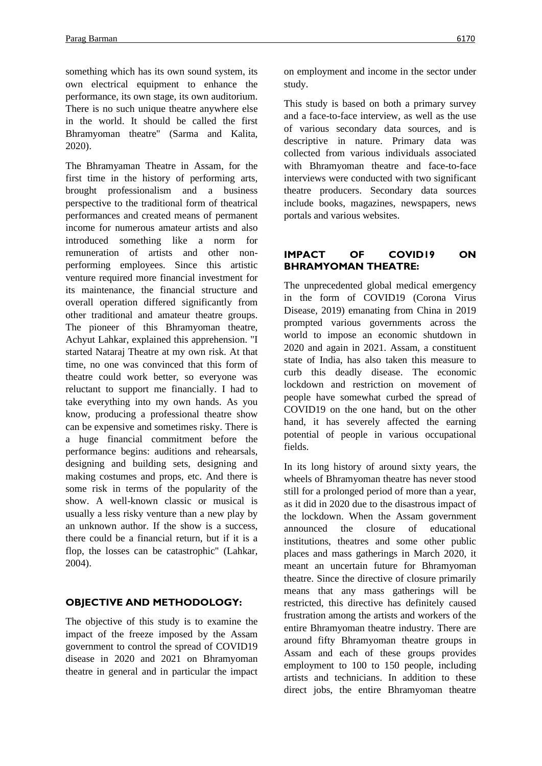something which has its own sound system, its own electrical equipment to enhance the performance, its own stage, its own auditorium. There is no such unique theatre anywhere else in the world. It should be called the first Bhramyoman theatre" (Sarma and Kalita, 2020).

The Bhramyaman Theatre in Assam, for the first time in the history of performing arts, brought professionalism and a business perspective to the traditional form of theatrical performances and created means of permanent income for numerous amateur artists and also introduced something like a norm for remuneration of artists and other nonperforming employees. Since this artistic venture required more financial investment for its maintenance, the financial structure and overall operation differed significantly from other traditional and amateur theatre groups. The pioneer of this Bhramyoman theatre, Achyut Lahkar, explained this apprehension. "I started Nataraj Theatre at my own risk. At that time, no one was convinced that this form of theatre could work better, so everyone was reluctant to support me financially. I had to take everything into my own hands. As you know, producing a professional theatre show can be expensive and sometimes risky. There is a huge financial commitment before the performance begins: auditions and rehearsals, designing and building sets, designing and making costumes and props, etc. And there is some risk in terms of the popularity of the show. A well-known classic or musical is usually a less risky venture than a new play by an unknown author. If the show is a success, there could be a financial return, but if it is a flop, the losses can be catastrophic" (Lahkar, 2004).

## **OBJECTIVE AND METHODOLOGY:**

The objective of this study is to examine the impact of the freeze imposed by the Assam government to control the spread of COVID19 disease in 2020 and 2021 on Bhramyoman theatre in general and in particular the impact on employment and income in the sector under study.

This study is based on both a primary survey and a face-to-face interview, as well as the use of various secondary data sources, and is descriptive in nature. Primary data was collected from various individuals associated with Bhramyoman theatre and face-to-face interviews were conducted with two significant theatre producers. Secondary data sources include books, magazines, newspapers, news portals and various websites.

## **IMPACT OF COVID19 ON BHRAMYOMAN THEATRE:**

The unprecedented global medical emergency in the form of COVID19 (Corona Virus Disease, 2019) emanating from China in 2019 prompted various governments across the world to impose an economic shutdown in 2020 and again in 2021. Assam, a constituent state of India, has also taken this measure to curb this deadly disease. The economic lockdown and restriction on movement of people have somewhat curbed the spread of COVID19 on the one hand, but on the other hand, it has severely affected the earning potential of people in various occupational fields.

In its long history of around sixty years, the wheels of Bhramyoman theatre has never stood still for a prolonged period of more than a year, as it did in 2020 due to the disastrous impact of the lockdown. When the Assam government announced the closure of educational institutions, theatres and some other public places and mass gatherings in March 2020, it meant an uncertain future for Bhramyoman theatre. Since the directive of closure primarily means that any mass gatherings will be restricted, this directive has definitely caused frustration among the artists and workers of the entire Bhramyoman theatre industry. There are around fifty Bhramyoman theatre groups in Assam and each of these groups provides employment to 100 to 150 people, including artists and technicians. In addition to these direct jobs, the entire Bhramyoman theatre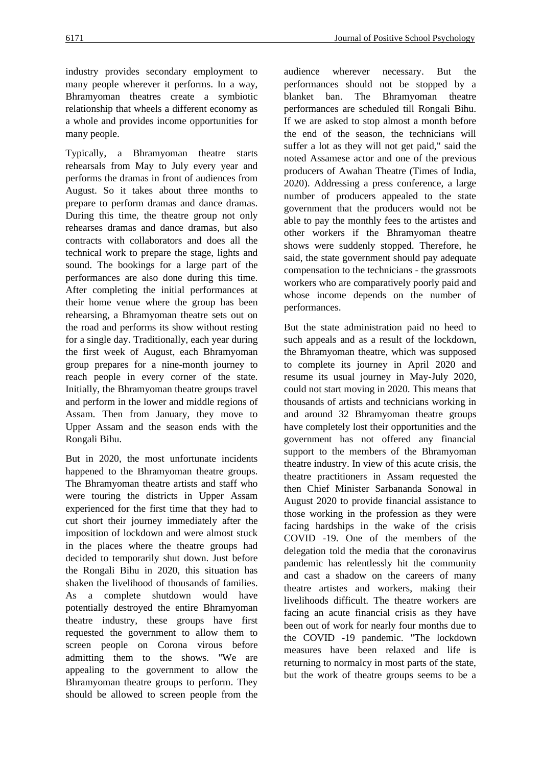industry provides secondary employment to many people wherever it performs. In a way, Bhramyoman theatres create a symbiotic relationship that wheels a different economy as a whole and provides income opportunities for many people.

Typically, a Bhramyoman theatre starts rehearsals from May to July every year and performs the dramas in front of audiences from August. So it takes about three months to prepare to perform dramas and dance dramas. During this time, the theatre group not only rehearses dramas and dance dramas, but also contracts with collaborators and does all the technical work to prepare the stage, lights and sound. The bookings for a large part of the performances are also done during this time. After completing the initial performances at their home venue where the group has been rehearsing, a Bhramyoman theatre sets out on the road and performs its show without resting for a single day. Traditionally, each year during the first week of August, each Bhramyoman group prepares for a nine-month journey to reach people in every corner of the state. Initially, the Bhramyoman theatre groups travel and perform in the lower and middle regions of Assam. Then from January, they move to Upper Assam and the season ends with the Rongali Bihu.

But in 2020, the most unfortunate incidents happened to the Bhramyoman theatre groups. The Bhramyoman theatre artists and staff who were touring the districts in Upper Assam experienced for the first time that they had to cut short their journey immediately after the imposition of lockdown and were almost stuck in the places where the theatre groups had decided to temporarily shut down. Just before the Rongali Bihu in 2020, this situation has shaken the livelihood of thousands of families. As a complete shutdown would have potentially destroyed the entire Bhramyoman theatre industry, these groups have first requested the government to allow them to screen people on Corona virous before admitting them to the shows. "We are appealing to the government to allow the Bhramyoman theatre groups to perform. They should be allowed to screen people from the audience wherever necessary. But the performances should not be stopped by a blanket ban. The Bhramyoman theatre performances are scheduled till Rongali Bihu. If we are asked to stop almost a month before the end of the season, the technicians will suffer a lot as they will not get paid," said the noted Assamese actor and one of the previous producers of Awahan Theatre (Times of India, 2020). Addressing a press conference, a large number of producers appealed to the state government that the producers would not be able to pay the monthly fees to the artistes and other workers if the Bhramyoman theatre shows were suddenly stopped. Therefore, he said, the state government should pay adequate compensation to the technicians - the grassroots workers who are comparatively poorly paid and whose income depends on the number of performances.

But the state administration paid no heed to such appeals and as a result of the lockdown, the Bhramyoman theatre, which was supposed to complete its journey in April 2020 and resume its usual journey in May-July 2020, could not start moving in 2020. This means that thousands of artists and technicians working in and around 32 Bhramyoman theatre groups have completely lost their opportunities and the government has not offered any financial support to the members of the Bhramyoman theatre industry. In view of this acute crisis, the theatre practitioners in Assam requested the then Chief Minister Sarbananda Sonowal in August 2020 to provide financial assistance to those working in the profession as they were facing hardships in the wake of the crisis COVID -19. One of the members of the delegation told the media that the coronavirus pandemic has relentlessly hit the community and cast a shadow on the careers of many theatre artistes and workers, making their livelihoods difficult. The theatre workers are facing an acute financial crisis as they have been out of work for nearly four months due to the COVID -19 pandemic. "The lockdown measures have been relaxed and life is returning to normalcy in most parts of the state, but the work of theatre groups seems to be a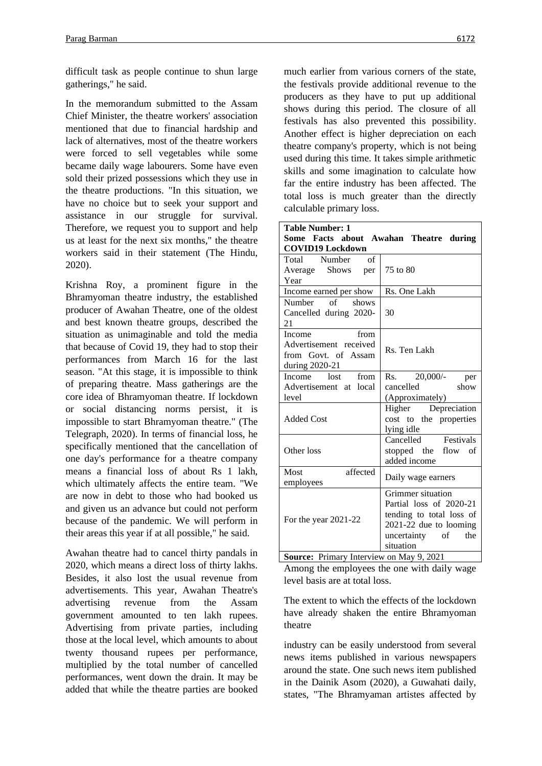difficult task as people continue to shun large gatherings," he said.

In the memorandum submitted to the Assam Chief Minister, the theatre workers' association mentioned that due to financial hardship and lack of alternatives, most of the theatre workers were forced to sell vegetables while some became daily wage labourers. Some have even sold their prized possessions which they use in the theatre productions. "In this situation, we have no choice but to seek your support and assistance in our struggle for survival. Therefore, we request you to support and help us at least for the next six months," the theatre workers said in their statement (The Hindu, 2020).

Krishna Roy, a prominent figure in the Bhramyoman theatre industry, the established producer of Awahan Theatre, one of the oldest and best known theatre groups, described the situation as unimaginable and told the media that because of Covid 19, they had to stop their performances from March 16 for the last season. "At this stage, it is impossible to think of preparing theatre. Mass gatherings are the core idea of Bhramyoman theatre. If lockdown or social distancing norms persist, it is impossible to start Bhramyoman theatre." (The Telegraph, 2020). In terms of financial loss, he specifically mentioned that the cancellation of one day's performance for a theatre company means a financial loss of about Rs 1 lakh, which ultimately affects the entire team. "We are now in debt to those who had booked us and given us an advance but could not perform because of the pandemic. We will perform in their areas this year if at all possible," he said.

Awahan theatre had to cancel thirty pandals in 2020, which means a direct loss of thirty lakhs. Besides, it also lost the usual revenue from advertisements. This year, Awahan Theatre's advertising revenue from the Assam government amounted to ten lakh rupees. Advertising from private parties, including those at the local level, which amounts to about twenty thousand rupees per performance, multiplied by the total number of cancelled performances, went down the drain. It may be added that while the theatre parties are booked much earlier from various corners of the state, the festivals provide additional revenue to the producers as they have to put up additional shows during this period. The closure of all festivals has also prevented this possibility. Another effect is higher depreciation on each theatre company's property, which is not being used during this time. It takes simple arithmetic skills and some imagination to calculate how far the entire industry has been affected. The total loss is much greater than the directly calculable primary loss.

| <b>Table Number: 1</b><br>Some Facts about Awahan Theatre during<br><b>COVID19 Lockdown</b> |                                                                                                                                            |
|---------------------------------------------------------------------------------------------|--------------------------------------------------------------------------------------------------------------------------------------------|
| Total Number<br>of<br>Average Shows per                                                     | 75 to 80                                                                                                                                   |
| Year<br>Income earned per show                                                              | Rs. One Lakh                                                                                                                               |
|                                                                                             |                                                                                                                                            |
| Number<br>$\circ$ of<br>shows<br>Cancelled during 2020-<br>21                               | 30                                                                                                                                         |
| Income<br>from<br>Advertisement received<br>from Govt. of Assam<br>during 2020-21           | Rs. Ten Lakh                                                                                                                               |
| Income lost<br>from                                                                         | Rs. 20,000/- per                                                                                                                           |
| Advertisement at local                                                                      | cancelled<br>show                                                                                                                          |
| level                                                                                       | (Approximately)                                                                                                                            |
| <b>Added Cost</b>                                                                           | Higher Depreciation<br>cost to the properties<br>lying idle                                                                                |
| Other loss                                                                                  | Cancelled Festivals<br>stopped the flow of<br>added income                                                                                 |
| affected<br>Most<br>employees                                                               | Daily wage earners                                                                                                                         |
| For the year 2021-22                                                                        | Grimmer situation<br>Partial loss of 2020-21<br>tending to total loss of<br>$2021-22$ due to looming<br>uncertainty of<br>the<br>situation |
| Source: Primary Interview on May 9, 2021                                                    |                                                                                                                                            |

Among the employees the one with daily wage level basis are at total loss.

The extent to which the effects of the lockdown have already shaken the entire Bhramyoman theatre

industry can be easily understood from several news items published in various newspapers around the state. One such news item published in the Dainik Asom (2020), a Guwahati daily, states, "The Bhramyaman artistes affected by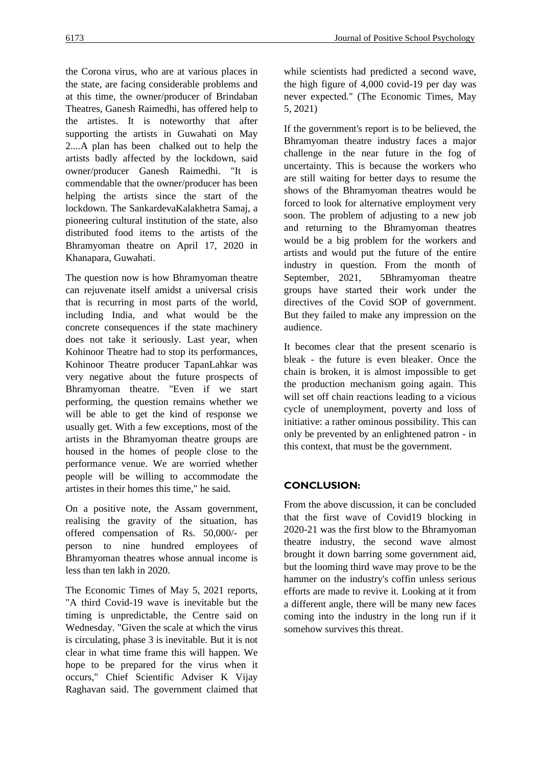the Corona virus, who are at various places in the state, are facing considerable problems and at this time, the owner/producer of Brindaban Theatres, Ganesh Raimedhi, has offered help to the artistes. It is noteworthy that after supporting the artists in Guwahati on May 2....A plan has been chalked out to help the artists badly affected by the lockdown, said owner/producer Ganesh Raimedhi. "It is commendable that the owner/producer has been helping the artists since the start of the lockdown. The SankardevaKalakhetra Samaj, a pioneering cultural institution of the state, also distributed food items to the artists of the Bhramyoman theatre on April 17, 2020 in Khanapara, Guwahati.

The question now is how Bhramyoman theatre can rejuvenate itself amidst a universal crisis that is recurring in most parts of the world, including India, and what would be the concrete consequences if the state machinery does not take it seriously. Last year, when Kohinoor Theatre had to stop its performances, Kohinoor Theatre producer TapanLahkar was very negative about the future prospects of Bhramyoman theatre. "Even if we start performing, the question remains whether we will be able to get the kind of response we usually get. With a few exceptions, most of the artists in the Bhramyoman theatre groups are housed in the homes of people close to the performance venue. We are worried whether people will be willing to accommodate the artistes in their homes this time," he said.

On a positive note, the Assam government, realising the gravity of the situation, has offered compensation of Rs. 50,000/- per person to nine hundred employees of Bhramyoman theatres whose annual income is less than ten lakh in 2020.

The Economic Times of May 5, 2021 reports, "A third Covid-19 wave is inevitable but the timing is unpredictable, the Centre said on Wednesday. "Given the scale at which the virus is circulating, phase 3 is inevitable. But it is not clear in what time frame this will happen. We hope to be prepared for the virus when it occurs," Chief Scientific Adviser K Vijay Raghavan said. The government claimed that while scientists had predicted a second wave, the high figure of 4,000 covid-19 per day was never expected." (The Economic Times, May 5, 2021)

If the government's report is to be believed, the Bhramyoman theatre industry faces a major challenge in the near future in the fog of uncertainty. This is because the workers who are still waiting for better days to resume the shows of the Bhramyoman theatres would be forced to look for alternative employment very soon. The problem of adjusting to a new job and returning to the Bhramyoman theatres would be a big problem for the workers and artists and would put the future of the entire industry in question. From the month of September, 2021, 5Bhramyoman theatre groups have started their work under the directives of the Covid SOP of government. But they failed to make any impression on the audience.

It becomes clear that the present scenario is bleak - the future is even bleaker. Once the chain is broken, it is almost impossible to get the production mechanism going again. This will set off chain reactions leading to a vicious cycle of unemployment, poverty and loss of initiative: a rather ominous possibility. This can only be prevented by an enlightened patron - in this context, that must be the government.

## **CONCLUSION:**

From the above discussion, it can be concluded that the first wave of Covid19 blocking in 2020-21 was the first blow to the Bhramyoman theatre industry, the second wave almost brought it down barring some government aid, but the looming third wave may prove to be the hammer on the industry's coffin unless serious efforts are made to revive it. Looking at it from a different angle, there will be many new faces coming into the industry in the long run if it somehow survives this threat.